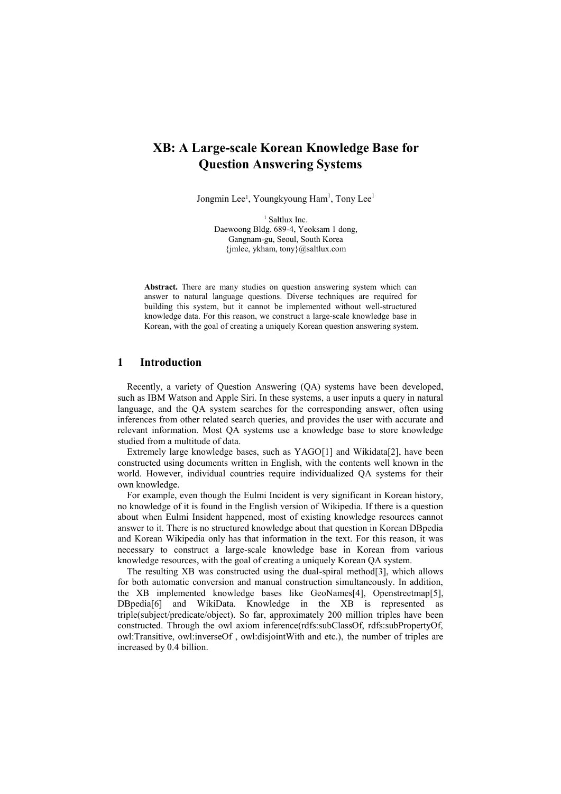# **XB: A Large-scale Korean Knowledge Base for Question Answering Systems**

Jongmin Lee<sup>1</sup>, Youngkyoung Ham<sup>1</sup>, Tony Lee<sup>1</sup>

<sup>1</sup> Saltlux Inc. Daewoong Bldg. 689-4, Yeoksam 1 dong, Gangnam-gu, Seoul, South Korea {jmlee, ykham, tony}@saltlux.com

**Abstract.** There are many studies on question answering system which can answer to natural language questions. Diverse techniques are required for building this system, but it cannot be implemented without well-structured knowledge data. For this reason, we construct a large-scale knowledge base in Korean, with the goal of creating a uniquely Korean question answering system.

## **1 Introduction**

Recently, a variety of Question Answering (QA) systems have been developed, such as IBM Watson and Apple Siri. In these systems, a user inputs a query in natural language, and the QA system searches for the corresponding answer, often using inferences from other related search queries, and provides the user with accurate and relevant information. Most QA systems use a knowledge base to store knowledge studied from a multitude of data.

Extremely large knowledge bases, such as YAGO[1] and Wikidata[2], have been constructed using documents written in English, with the contents well known in the world. However, individual countries require individualized QA systems for their own knowledge.

For example, even though the Eulmi Incident is very significant in Korean history, no knowledge of it is found in the English version of Wikipedia. If there is a question about when Eulmi Insident happened, most of existing knowledge resources cannot answer to it. There is no structured knowledge about that question in Korean DBpedia and Korean Wikipedia only has that information in the text. For this reason, it was necessary to construct a large-scale knowledge base in Korean from various knowledge resources, with the goal of creating a uniquely Korean QA system.

The resulting XB was constructed using the dual-spiral method[3], which allows for both automatic conversion and manual construction simultaneously. In addition, the XB implemented knowledge bases like GeoNames[4], Openstreetmap[5], DBpedia[6] and WikiData. Knowledge in the XB is represented as triple(subject/predicate/object). So far, approximately 200 million triples have been constructed. Through the owl axiom inference(rdfs:subClassOf, rdfs:subPropertyOf, owl:Transitive, owl:inverseOf , owl:disjointWith and etc.), the number of triples are increased by 0.4 billion.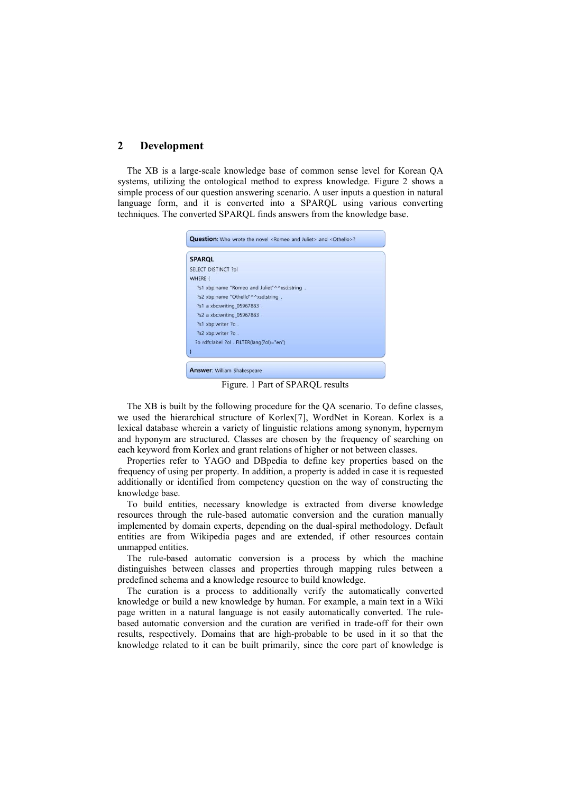# **2 Development**

The XB is a large-scale knowledge base of common sense level for Korean QA systems, utilizing the ontological method to express knowledge. Figure 2 shows a simple process of our question answering scenario. A user inputs a question in natural language form, and it is converted into a SPARQL using various converting techniques. The converted SPARQL finds answers from the knowledge base.



Figure. 1 Part of SPARQL results

The XB is built by the following procedure for the QA scenario. To define classes, we used the hierarchical structure of Korlex[7], WordNet in Korean. Korlex is a lexical database wherein a variety of linguistic relations among synonym, hypernym and hyponym are structured. Classes are chosen by the frequency of searching on each keyword from Korlex and grant relations of higher or not between classes.

Properties refer to YAGO and DBpedia to define key properties based on the frequency of using per property. In addition, a property is added in case it is requested additionally or identified from competency question on the way of constructing the knowledge base.

To build entities, necessary knowledge is extracted from diverse knowledge resources through the rule-based automatic conversion and the curation manually implemented by domain experts, depending on the dual-spiral methodology. Default entities are from Wikipedia pages and are extended, if other resources contain unmapped entities.

The rule-based automatic conversion is a process by which the machine distinguishes between classes and properties through mapping rules between a predefined schema and a knowledge resource to build knowledge.

The curation is a process to additionally verify the automatically converted knowledge or build a new knowledge by human. For example, a main text in a Wiki page written in a natural language is not easily automatically converted. The rulebased automatic conversion and the curation are verified in trade-off for their own results, respectively. Domains that are high-probable to be used in it so that the knowledge related to it can be built primarily, since the core part of knowledge is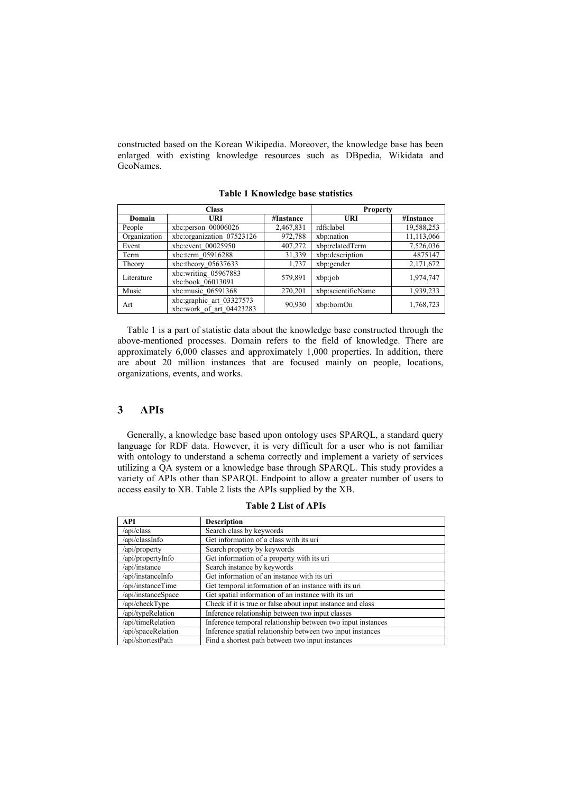constructed based on the Korean Wikipedia. Moreover, the knowledge base has been enlarged with existing knowledge resources such as DBpedia, Wikidata and GeoNames.

| <b>Class</b> |                                                      |           | <b>Property</b>    |            |
|--------------|------------------------------------------------------|-----------|--------------------|------------|
| Domain       | URI                                                  | #Instance | URI                | #Instance  |
| People       | $xbc:person$ 00006026                                | 2,467,831 | rdfs:label         | 19,588,253 |
| Organization | xbc:organization 07523126                            | 972,788   | xbp:nation         | 11,113,066 |
| Event        | xbc:event 00025950                                   | 407,272   | xbp:relatedTerm    | 7,526,036  |
| Term         | xbc:term 05916288                                    | 31,339    | xbp:description    | 4875147    |
| Theory       | xbc:theory 05637633                                  | 1,737     | xbp:gender         | 2,171,672  |
| Literature   | xbc:writing 05967883<br>xbc:book 06013091            | 579,891   | xbp:job            | 1,974,747  |
| Music        | xbc:music 06591368                                   | 270,201   | xbp:scientificName | 1,939,233  |
| Art          | xbc:graphic art 03327573<br>xbc:work of art 04423283 | 90,930    | xbp:bornOn         | 1,768,723  |

**Table 1 Knowledge base statistics**

Table 1 is a part of statistic data about the knowledge base constructed through the above-mentioned processes. Domain refers to the field of knowledge. There are approximately 6,000 classes and approximately 1,000 properties. In addition, there are about 20 million instances that are focused mainly on people, locations, organizations, events, and works.

# **3 APIs**

Generally, a knowledge base based upon ontology uses SPARQL, a standard query language for RDF data. However, it is very difficult for a user who is not familiar with ontology to understand a schema correctly and implement a variety of services utilizing a QA system or a knowledge base through SPARQL. This study provides a variety of APIs other than SPARQL Endpoint to allow a greater number of users to access easily to XB. Table 2 lists the APIs supplied by the XB.

| <b>API</b>         | <b>Description</b>                                          |  |  |
|--------------------|-------------------------------------------------------------|--|--|
| /api/class         | Search class by keywords                                    |  |  |
| /api/classInfo     | Get information of a class with its uri                     |  |  |
| /api/property      | Search property by keywords                                 |  |  |
| /api/propertyInfo  | Get information of a property with its uri                  |  |  |
| /api/instance      | Search instance by keywords                                 |  |  |
| /api/instanceInfo  | Get information of an instance with its uri                 |  |  |
| /api/instanceTime  | Get temporal information of an instance with its uri        |  |  |
| /api/instanceSpace | Get spatial information of an instance with its uri         |  |  |
| /api/checkType     | Check if it is true or false about input instance and class |  |  |
| /api/typeRelation  | Inference relationship between two input classes            |  |  |
| /api/timeRelation  | Inference temporal relationship between two input instances |  |  |
| /api/spaceRelation | Inference spatial relationship between two input instances  |  |  |
| /api/shortestPath  | Find a shortest path between two input instances            |  |  |

**Table 2 List of APIs**